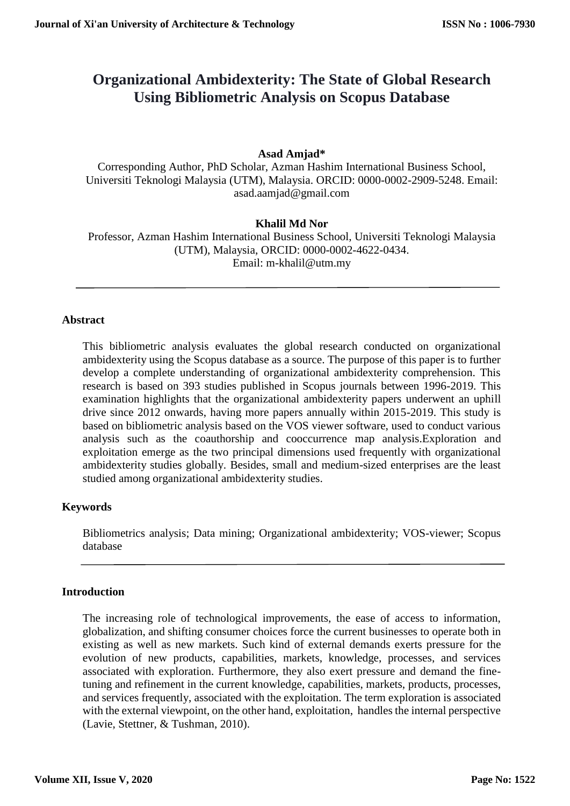# **Organizational Ambidexterity: The State of Global Research Using Bibliometric Analysis on Scopus Database**

#### **Asad Amjad\***

Corresponding Author, PhD Scholar, Azman Hashim International Business School, Universiti Teknologi Malaysia (UTM), Malaysia. ORCID: 0000-0002-2909-5248. Email: asad.aamjad@gmail.com

#### **Khalil Md Nor**

Professor, Azman Hashim International Business School, Universiti Teknologi Malaysia (UTM), Malaysia, ORCID: 0000-0002-4622-0434. Email: m-khalil@utm.my

#### **Abstract**

This bibliometric analysis evaluates the global research conducted on organizational ambidexterity using the Scopus database as a source. The purpose of this paper is to further develop a complete understanding of organizational ambidexterity comprehension. This research is based on 393 studies published in Scopus journals between 1996-2019. This examination highlights that the organizational ambidexterity papers underwent an uphill drive since 2012 onwards, having more papers annually within 2015-2019. This study is based on bibliometric analysis based on the VOS viewer software, used to conduct various analysis such as the coauthorship and cooccurrence map analysis.Exploration and exploitation emerge as the two principal dimensions used frequently with organizational ambidexterity studies globally. Besides, small and medium-sized enterprises are the least studied among organizational ambidexterity studies.

#### **Keywords**

Bibliometrics analysis; Data mining; Organizational ambidexterity; VOS-viewer; Scopus database

#### **Introduction**

The increasing role of technological improvements, the ease of access to information, globalization, and shifting consumer choices force the current businesses to operate both in existing as well as new markets. Such kind of external demands exerts pressure for the evolution of new products, capabilities, markets, knowledge, processes, and services associated with exploration. Furthermore, they also exert pressure and demand the finetuning and refinement in the current knowledge, capabilities, markets, products, processes, and services frequently, associated with the exploitation. The term exploration is associated with the external viewpoint, on the other hand, exploitation, handles the internal perspective (Lavie, Stettner, & Tushman, 2010).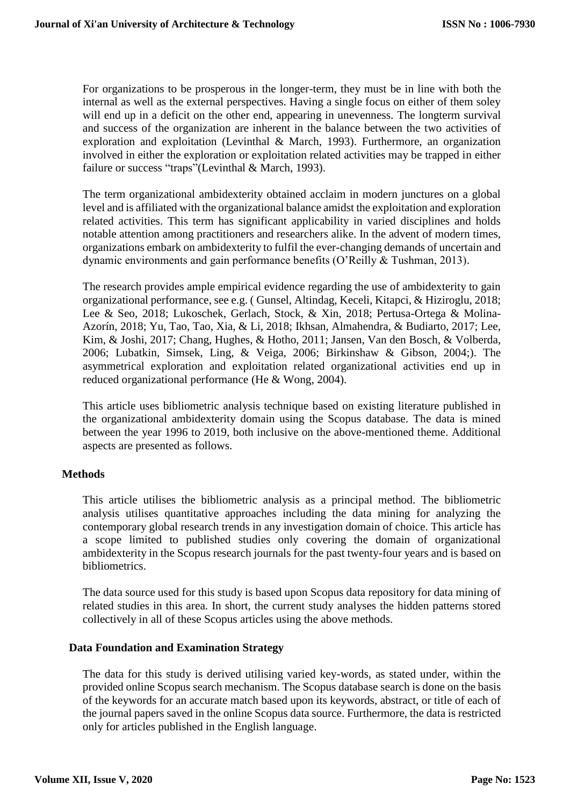For organizations to be prosperous in the longer-term, they must be in line with both the internal as well as the external perspectives. Having a single focus on either of them soley will end up in a deficit on the other end, appearing in unevenness. The longterm survival and success of the organization are inherent in the balance between the two activities of exploration and exploitation (Levinthal & March, 1993). Furthermore, an organization involved in either the exploration or exploitation related activities may be trapped in either failure or success "traps"(Levinthal & March, 1993).

The term organizational ambidexterity obtained acclaim in modern junctures on a global level and is affiliated with the organizational balance amidst the exploitation and exploration related activities. This term has significant applicability in varied disciplines and holds notable attention among practitioners and researchers alike. In the advent of modern times, organizations embark on ambidexterity to fulfil the ever-changing demands of uncertain and dynamic environments and gain performance benefits (O'Reilly & Tushman, 2013).

The research provides ample empirical evidence regarding the use of ambidexterity to gain organizational performance, see e.g. ( Gunsel, Altindag, Keceli, Kitapci, & Hiziroglu, 2018; Lee & Seo, 2018; Lukoschek, Gerlach, Stock, & Xin, 2018; Pertusa-Ortega & Molina-Azorín, 2018; Yu, Tao, Tao, Xia, & Li, 2018; Ikhsan, Almahendra, & Budiarto, 2017; Lee, Kim, & Joshi, 2017; Chang, Hughes, & Hotho, 2011; Jansen, Van den Bosch, & Volberda, 2006; Lubatkin, Simsek, Ling, & Veiga, 2006; Birkinshaw & Gibson, 2004;). The asymmetrical exploration and exploitation related organizational activities end up in reduced organizational performance (He & Wong, 2004).

This article uses bibliometric analysis technique based on existing literature published in the organizational ambidexterity domain using the Scopus database. The data is mined between the year 1996 to 2019, both inclusive on the above-mentioned theme. Additional aspects are presented as follows.

#### **Methods**

This article utilises the bibliometric analysis as a principal method. The bibliometric analysis utilises quantitative approaches including the data mining for analyzing the contemporary global research trends in any investigation domain of choice. This article has a scope limited to published studies only covering the domain of organizational ambidexterity in the Scopus research journals for the past twenty-four years and is based on bibliometrics.

The data source used for this study is based upon Scopus data repository for data mining of related studies in this area. In short, the current study analyses the hidden patterns stored collectively in all of these Scopus articles using the above methods.

#### **Data Foundation and Examination Strategy**

The data for this study is derived utilising varied key-words, as stated under, within the provided online Scopus search mechanism. The Scopus database search is done on the basis of the keywords for an accurate match based upon its keywords, abstract, or title of each of the journal papers saved in the online Scopus data source. Furthermore, the data is restricted only for articles published in the English language.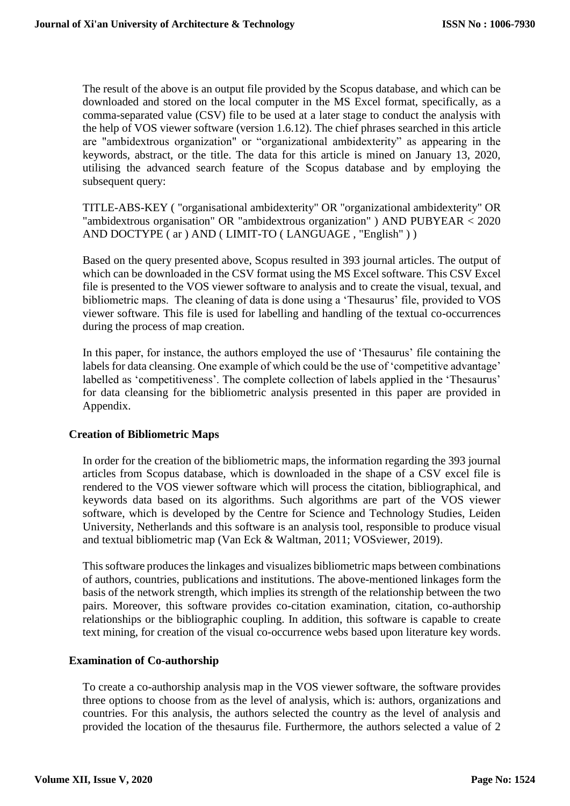The result of the above is an output file provided by the Scopus database, and which can be downloaded and stored on the local computer in the MS Excel format, specifically, as a comma-separated value (CSV) file to be used at a later stage to conduct the analysis with the help of VOS viewer software (version 1.6.12). The chief phrases searched in this article are "ambidextrous organization" or "organizational ambidexterity" as appearing in the keywords, abstract, or the title. The data for this article is mined on January 13, 2020, utilising the advanced search feature of the Scopus database and by employing the subsequent query:

TITLE-ABS-KEY ( "organisational ambidexterity" OR "organizational ambidexterity" OR "ambidextrous organisation" OR "ambidextrous organization" ) AND PUBYEAR < 2020 AND DOCTYPE ( ar ) AND ( LIMIT-TO ( LANGUAGE , "English" ) )

Based on the query presented above, Scopus resulted in 393 journal articles. The output of which can be downloaded in the CSV format using the MS Excel software. This CSV Excel file is presented to the VOS viewer software to analysis and to create the visual, texual, and bibliometric maps. The cleaning of data is done using a 'Thesaurus' file, provided to VOS viewer software. This file is used for labelling and handling of the textual co-occurrences during the process of map creation.

In this paper, for instance, the authors employed the use of 'Thesaurus' file containing the labels for data cleansing. One example of which could be the use of 'competitive advantage' labelled as 'competitiveness'. The complete collection of labels applied in the 'Thesaurus' for data cleansing for the bibliometric analysis presented in this paper are provided in Appendix.

#### **Creation of Bibliometric Maps**

In order for the creation of the bibliometric maps, the information regarding the 393 journal articles from Scopus database, which is downloaded in the shape of a CSV excel file is rendered to the VOS viewer software which will process the citation, bibliographical, and keywords data based on its algorithms. Such algorithms are part of the VOS viewer software, which is developed by the Centre for Science and Technology Studies, Leiden University, Netherlands and this software is an analysis tool, responsible to produce visual and textual bibliometric map (Van Eck & Waltman, 2011; VOSviewer, 2019).

This software produces the linkages and visualizes bibliometric maps between combinations of authors, countries, publications and institutions. The above-mentioned linkages form the basis of the network strength, which implies its strength of the relationship between the two pairs. Moreover, this software provides co-citation examination, citation, co-authorship relationships or the bibliographic coupling. In addition, this software is capable to create text mining, for creation of the visual co-occurrence webs based upon literature key words.

#### **Examination of Co-authorship**

To create a co-authorship analysis map in the VOS viewer software, the software provides three options to choose from as the level of analysis, which is: authors, organizations and countries. For this analysis, the authors selected the country as the level of analysis and provided the location of the thesaurus file. Furthermore, the authors selected a value of 2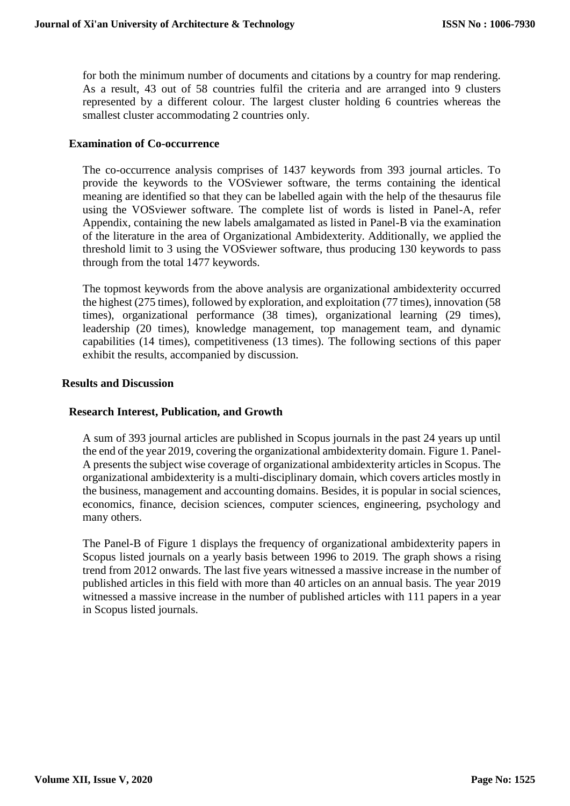for both the minimum number of documents and citations by a country for map rendering. As a result, 43 out of 58 countries fulfil the criteria and are arranged into 9 clusters represented by a different colour. The largest cluster holding 6 countries whereas the smallest cluster accommodating 2 countries only.

#### **Examination of Co-occurrence**

The co-occurrence analysis comprises of 1437 keywords from 393 journal articles. To provide the keywords to the VOSviewer software, the terms containing the identical meaning are identified so that they can be labelled again with the help of the thesaurus file using the VOSviewer software. The complete list of words is listed in Panel-A, refer Appendix, containing the new labels amalgamated as listed in Panel-B via the examination of the literature in the area of Organizational Ambidexterity. Additionally, we applied the threshold limit to 3 using the VOSviewer software, thus producing 130 keywords to pass through from the total 1477 keywords.

The topmost keywords from the above analysis are organizational ambidexterity occurred the highest (275 times), followed by exploration, and exploitation (77 times), innovation (58 times), organizational performance (38 times), organizational learning (29 times), leadership (20 times), knowledge management, top management team, and dynamic capabilities (14 times), competitiveness (13 times). The following sections of this paper exhibit the results, accompanied by discussion.

#### **Results and Discussion**

## **Research Interest, Publication, and Growth**

A sum of 393 journal articles are published in Scopus journals in the past 24 years up until the end of the year 2019, covering the organizational ambidexterity domain. Figure 1. Panel-A presents the subject wise coverage of organizational ambidexterity articles in Scopus. The organizational ambidexterity is a multi-disciplinary domain, which covers articles mostly in the business, management and accounting domains. Besides, it is popular in social sciences, economics, finance, decision sciences, computer sciences, engineering, psychology and many others.

The Panel-B of Figure 1 displays the frequency of organizational ambidexterity papers in Scopus listed journals on a yearly basis between 1996 to 2019. The graph shows a rising trend from 2012 onwards. The last five years witnessed a massive increase in the number of published articles in this field with more than 40 articles on an annual basis. The year 2019 witnessed a massive increase in the number of published articles with 111 papers in a year in Scopus listed journals.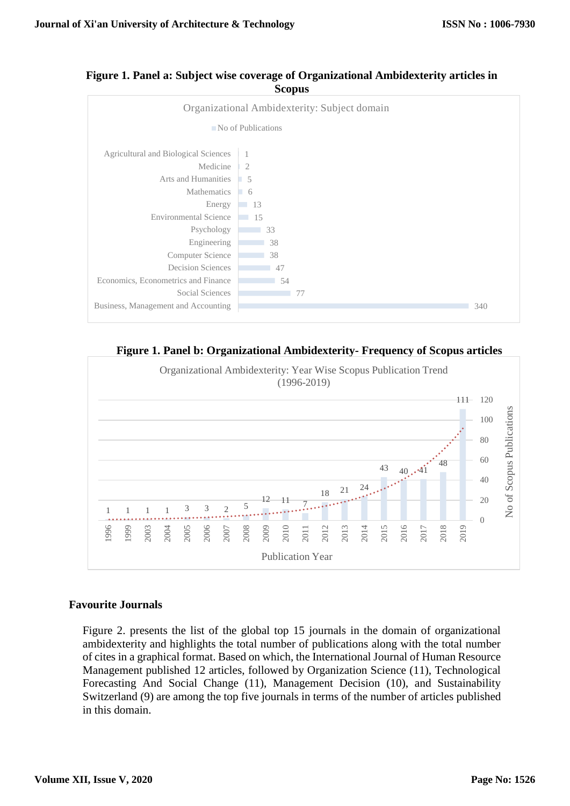



**Figure 1. Panel b: Organizational Ambidexterity- Frequency of Scopus articles**



## **Favourite Journals**

Figure 2. presents the list of the global top 15 journals in the domain of organizational ambidexterity and highlights the total number of publications along with the total number of cites in a graphical format. Based on which, the International Journal of Human Resource Management published 12 articles, followed by Organization Science (11), Technological Forecasting And Social Change (11), Management Decision (10), and Sustainability Switzerland (9) are among the top five journals in terms of the number of articles published in this domain.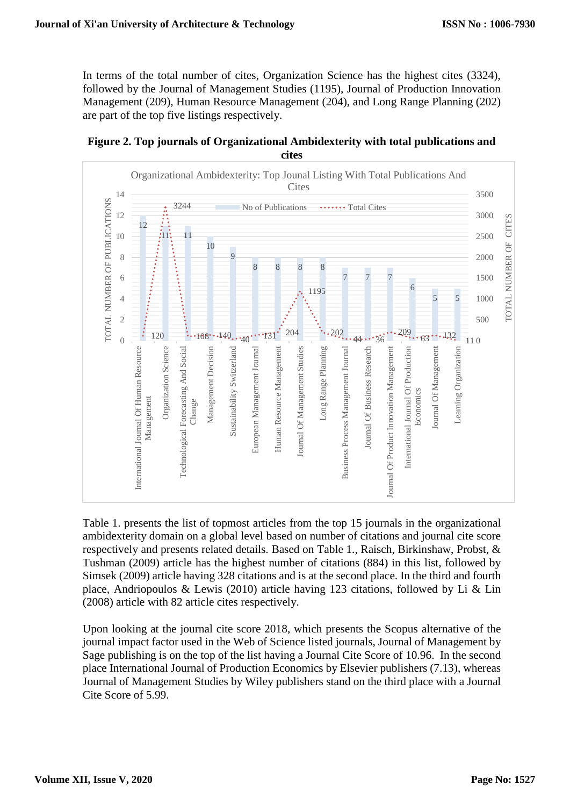In terms of the total number of cites, Organization Science has the highest cites (3324), followed by the Journal of Management Studies (1195), Journal of Production Innovation Management (209), Human Resource Management (204), and Long Range Planning (202) are part of the top five listings respectively.





Table 1. presents the list of topmost articles from the top 15 journals in the organizational ambidexterity domain on a global level based on number of citations and journal cite score respectively and presents related details. Based on Table 1., Raisch, Birkinshaw, Probst, & Tushman (2009) article has the highest number of citations (884) in this list, followed by Simsek (2009) article having 328 citations and is at the second place. In the third and fourth place, Andriopoulos & Lewis (2010) article having 123 citations, followed by Li & Lin (2008) article with 82 article cites respectively.

Upon looking at the journal cite score 2018, which presents the Scopus alternative of the journal impact factor used in the Web of Science listed journals, Journal of Management by Sage publishing is on the top of the list having a Journal Cite Score of 10.96. In the second place International Journal of Production Economics by Elsevier publishers (7.13), whereas Journal of Management Studies by Wiley publishers stand on the third place with a Journal Cite Score of 5.99.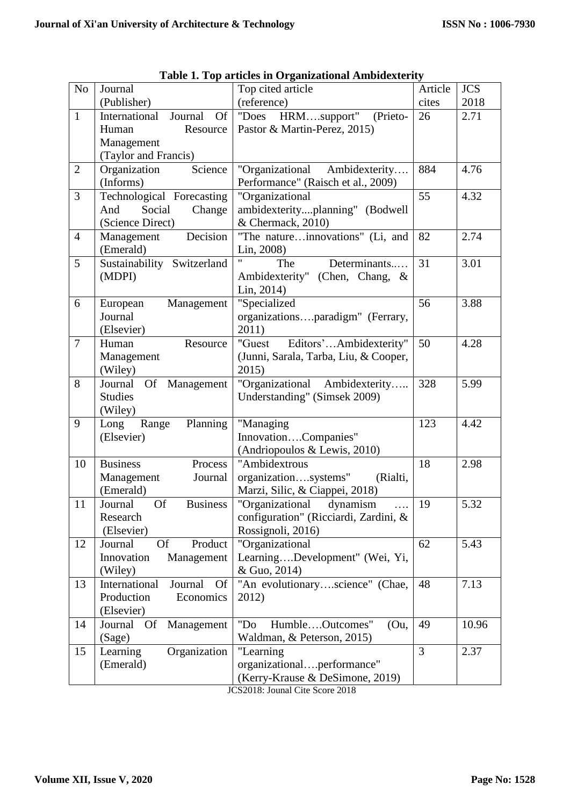| N <sub>o</sub> | Journal                                 | Top cited article                     | Article        | <b>JCS</b> |
|----------------|-----------------------------------------|---------------------------------------|----------------|------------|
|                | (Publisher)                             | (reference)                           | cites          | 2018       |
| $\mathbf{1}$   | International<br>Journal Of             | HRMsupport"<br>"Does<br>(Prieto-      | 26             | 2.71       |
|                | Resource<br>Human                       | Pastor & Martin-Perez, 2015)          |                |            |
|                | Management                              |                                       |                |            |
|                | (Taylor and Francis)                    |                                       |                |            |
| $\overline{2}$ | Organization<br>Science                 | "Organizational Ambidexterity         | 884            | 4.76       |
|                | (Informs)                               | Performance" (Raisch et al., 2009)    |                |            |
| $\overline{3}$ | Technological Forecasting               | "Organizational                       | 55             | 4.32       |
|                | Social<br>Change<br>And                 | ambidexterityplanning" (Bodwell       |                |            |
|                | (Science Direct)                        | & Chermack, 2010)                     |                |            |
| $\overline{4}$ | Decision<br>Management                  | "The natureinnovations" (Li, and      | 82             | 2.74       |
|                | (Emerald)                               | Lin, 2008)                            |                |            |
| 5              | Sustainability Switzerland              | Determinants<br>The                   | 31             | 3.01       |
|                | (MDPI)                                  | Ambidexterity" (Chen, Chang, &        |                |            |
|                |                                         | Lin, 2014)                            |                |            |
| 6              | European<br>Management                  | "Specialized                          | 56             | 3.88       |
|                | Journal                                 | organizationsparadigm" (Ferrary,      |                |            |
|                | (Elsevier)                              | 2011)                                 |                |            |
| $\overline{7}$ | Human<br>Resource                       | Editors'Ambidexterity"<br>"Guest      | 50             | 4.28       |
|                | Management                              | (Junni, Sarala, Tarba, Liu, & Cooper, |                |            |
|                | (Wiley)                                 | 2015)                                 |                |            |
| 8              | Journal<br>Of Management                | "Organizational Ambidexterity         | 328            | 5.99       |
|                | <b>Studies</b>                          | Understanding" (Simsek 2009)          |                |            |
|                | (Wiley)                                 |                                       |                |            |
| 9              | Planning<br>Long<br>Range               | "Managing                             | 123            | 4.42       |
|                | (Elsevier)                              | InnovationCompanies"                  |                |            |
|                |                                         | (Andriopoulos & Lewis, 2010)          |                |            |
| 10             | <b>Business</b><br>Process              | "Ambidextrous                         | 18             | 2.98       |
|                | Management<br>Journal                   | organizationsystems"<br>(Rialti,      |                |            |
|                | (Emerald)                               | Marzi, Silic, & Ciappei, 2018)        |                |            |
| 11             | <b>Business</b><br><b>Of</b><br>Journal | "Organizational"<br>dynamism<br>.     | 19             | 5.32       |
|                | Research                                | configuration" (Ricciardi, Zardini, & |                |            |
|                | (Elsevier)                              | Rossignoli, 2016)                     |                |            |
| 12             | Product<br><b>Of</b><br>Journal         | "Organizational                       | 62             | 5.43       |
|                | Innovation<br>Management                | LearningDevelopment" (Wei, Yi,        |                |            |
|                | (Wiley)                                 | & Guo, 2014)                          |                |            |
| 13             | International<br>Journal<br><b>Of</b>   | "An evolutionaryscience" (Chae,       | 48             | 7.13       |
|                | Production<br>Economics                 | 2012)                                 |                |            |
|                | (Elsevier)                              |                                       |                |            |
| 14             | Journal<br>Management<br>Of             | "Do<br>HumbleOutcomes"<br>(Qu,        | 49             | 10.96      |
|                | (Sage)                                  | Waldman, & Peterson, 2015)            |                |            |
| 15             | Learning<br>Organization                | "Learning                             | $\overline{3}$ | 2.37       |
|                | (Emerald)                               | organizationalperformance"            |                |            |
|                |                                         | (Kerry-Krause & DeSimone, 2019)       |                |            |

**Table 1. Top articles in Organizational Ambidexterity**

JCS2018: Jounal Cite Score 2018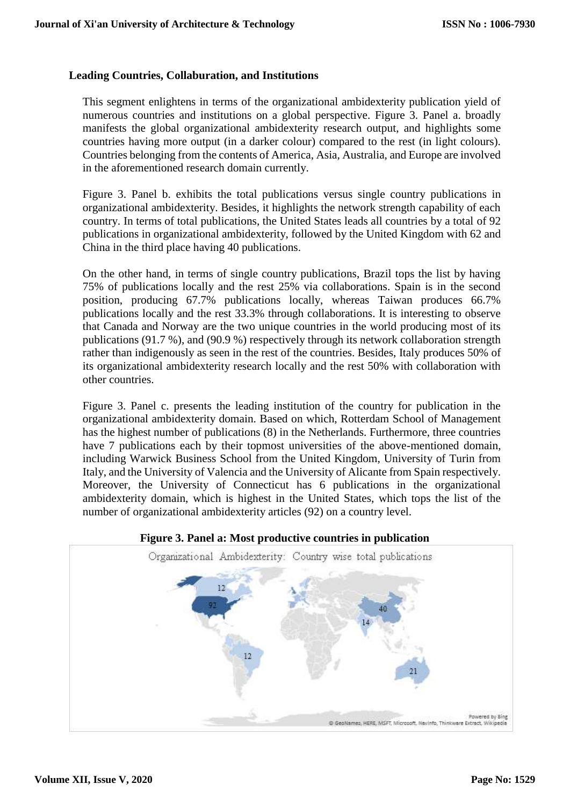#### **Leading Countries, Collaburation, and Institutions**

This segment enlightens in terms of the organizational ambidexterity publication yield of numerous countries and institutions on a global perspective. Figure 3. Panel a. broadly manifests the global organizational ambidexterity research output, and highlights some countries having more output (in a darker colour) compared to the rest (in light colours). Countries belonging from the contents of America, Asia, Australia, and Europe are involved in the aforementioned research domain currently.

Figure 3. Panel b. exhibits the total publications versus single country publications in organizational ambidexterity. Besides, it highlights the network strength capability of each country. In terms of total publications, the United States leads all countries by a total of 92 publications in organizational ambidexterity, followed by the United Kingdom with 62 and China in the third place having 40 publications.

On the other hand, in terms of single country publications, Brazil tops the list by having 75% of publications locally and the rest 25% via collaborations. Spain is in the second position, producing 67.7% publications locally, whereas Taiwan produces 66.7% publications locally and the rest 33.3% through collaborations. It is interesting to observe that Canada and Norway are the two unique countries in the world producing most of its publications (91.7 %), and (90.9 %) respectively through its network collaboration strength rather than indigenously as seen in the rest of the countries. Besides, Italy produces 50% of its organizational ambidexterity research locally and the rest 50% with collaboration with other countries.

Figure 3. Panel c. presents the leading institution of the country for publication in the organizational ambidexterity domain. Based on which, Rotterdam School of Management has the highest number of publications (8) in the Netherlands. Furthermore, three countries have 7 publications each by their topmost universities of the above-mentioned domain, including Warwick Business School from the United Kingdom, University of Turin from Italy, and the University of Valencia and the University of Alicante from Spain respectively. Moreover, the University of Connecticut has 6 publications in the organizational ambidexterity domain, which is highest in the United States, which tops the list of the number of organizational ambidexterity articles (92) on a country level.



#### **Figure 3. Panel a: Most productive countries in publication**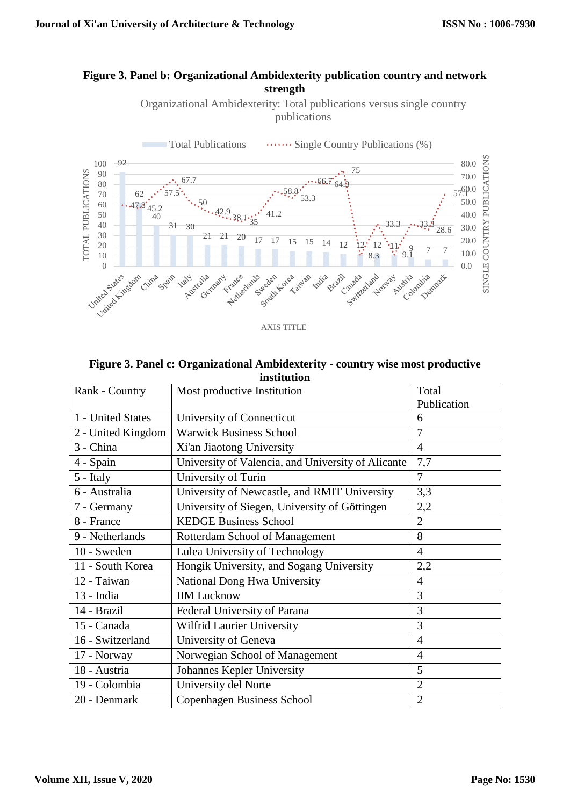#### **Figure 3. Panel b: Organizational Ambidexterity publication country and network strength**

Organizational Ambidexterity: Total publications versus single country publications



AXIS TITLE

#### **Figure 3. Panel c: Organizational Ambidexterity - country wise most productive institution**

| Rank - Country     | Most productive Institution                        | Total          |  |
|--------------------|----------------------------------------------------|----------------|--|
|                    |                                                    | Publication    |  |
| 1 - United States  | University of Connecticut                          | 6              |  |
| 2 - United Kingdom | <b>Warwick Business School</b>                     | 7              |  |
| 3 - China          | Xi'an Jiaotong University                          | $\overline{4}$ |  |
| 4 - Spain          | University of Valencia, and University of Alicante | 7,7            |  |
| 5 - Italy          | University of Turin                                | 7              |  |
| 6 - Australia      | University of Newcastle, and RMIT University       | 3,3            |  |
| 7 - Germany        | University of Siegen, University of Göttingen      | 2,2            |  |
| 8 - France         | <b>KEDGE Business School</b>                       | $\overline{2}$ |  |
| 9 - Netherlands    | Rotterdam School of Management                     | 8              |  |
| 10 - Sweden        | Lulea University of Technology                     | $\overline{4}$ |  |
| 11 - South Korea   | Hongik University, and Sogang University           | 2,2            |  |
| 12 - Taiwan        | National Dong Hwa University                       | $\overline{4}$ |  |
| $13$ - India       | <b>IIM Lucknow</b>                                 | 3              |  |
| 14 - Brazil        | Federal University of Parana                       | 3              |  |
| 15 - Canada        | Wilfrid Laurier University                         | 3              |  |
| 16 - Switzerland   | University of Geneva                               | $\overline{4}$ |  |
| 17 - Norway        | Norwegian School of Management                     | $\overline{4}$ |  |
| 18 - Austria       | Johannes Kepler University                         | 5              |  |
| 19 - Colombia      | University del Norte                               | $\overline{2}$ |  |
| 20 - Denmark       | <b>Copenhagen Business School</b>                  | $\overline{2}$ |  |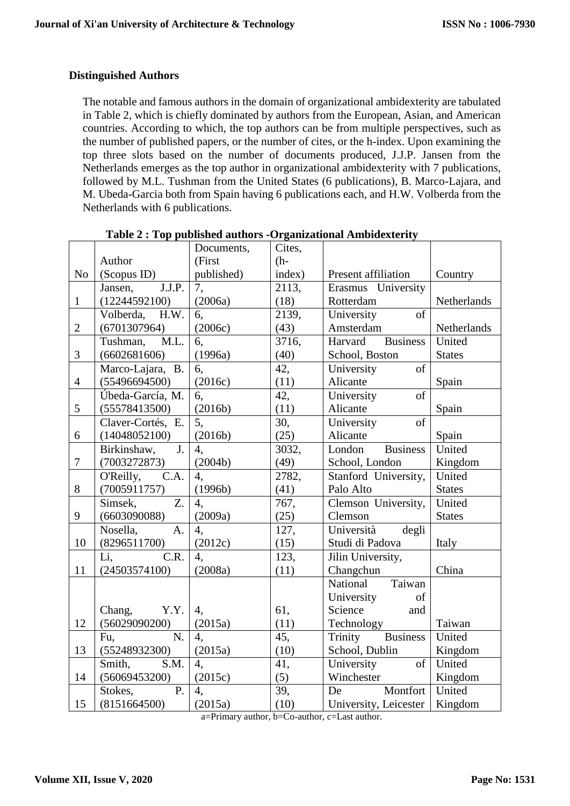#### **Distinguished Authors**

The notable and famous authors in the domain of organizational ambidexterity are tabulated in Table 2, which is chiefly dominated by authors from the European, Asian, and American countries. According to which, the top authors can be from multiple perspectives, such as the number of published papers, or the number of cites, or the h-index. Upon examining the top three slots based on the number of documents produced, J.J.P. Jansen from the Netherlands emerges as the top author in organizational ambidexterity with 7 publications, followed by M.L. Tushman from the United States (6 publications), B. Marco-Lajara, and M. Ubeda-Garcia both from Spain having 6 publications each, and H.W. Volberda from the Netherlands with 6 publications.

|                |                                          | Documents,       | Cites,              |                            |               |
|----------------|------------------------------------------|------------------|---------------------|----------------------------|---------------|
|                | Author                                   | (First           | $(h-$               |                            |               |
| N <sub>o</sub> | (Scopus ID)                              | published)       | index)              | Present affiliation        | Country       |
|                | J.J.P.<br>Jansen,                        | 7,               | 2113,               | Erasmus University         |               |
| $\mathbf{1}$   | (12244592100)                            | (2006a)          | (18)                | Rotterdam                  | Netherlands   |
|                | H.W.<br>Volberda,                        | 6.               | 2139,               | University<br>of           |               |
| $\overline{2}$ | (6701307964)                             | (2006c)          | (43)                | Amsterdam                  | Netherlands   |
|                | M.L.<br>Tushman,                         | 6,               | $\overline{3716}$ , | <b>Business</b><br>Harvard | United        |
| 3              | (6602681606)                             | (1996a)          | (40)                | School, Boston             | <b>States</b> |
|                | Marco-Lajara, B.                         | 6,               | 42,                 | University<br>of           |               |
| $\overline{4}$ | (55496694500)                            | (2016c)          | (11)                | Alicante                   | Spain         |
|                | Úbeda-García, M.                         | 6.               | 42,                 | of<br>University           |               |
| 5              | (55578413500)                            | (2016b)          | (11)                | Alicante                   | Spain         |
|                | Claver-Cortés, E.                        | 5,               | 30,                 | University<br>of           |               |
| 6              | (14048052100)                            | (2016b)          | (25)                | Alicante                   | Spain         |
|                | $\overline{\mathbf{J}}$ .<br>Birkinshaw, | $\overline{4}$ , | 3032,               | <b>Business</b><br>London  | United        |
| $\tau$         | (7003272873)                             | (2004b)          | (49)                | School, London             | Kingdom       |
|                | O'Reilly,<br>C.A.                        | $\overline{4}$ . | 2782,               | Stanford University,       | United        |
| 8              | (7005911757)                             | (1996b)          | (41)                | Palo Alto                  | <b>States</b> |
|                | $\overline{Z}$ .<br>Simsek,              | $\overline{4}$ . | 767,                | Clemson University,        | United        |
| 9              | (6603090088)                             | (2009a)          | (25)                | Clemson                    | <b>States</b> |
|                | A.<br>Nosella,                           | $\overline{4}$ , | 127,                | Università<br>degli        |               |
| 10             | (8296511700)                             | (2012c)          | (15)                | Studi di Padova            | Italy         |
|                | CR.<br>Li,                               | $\overline{4,}$  | 123,                | Jilin University,          |               |
| 11             | (24503574100)                            | (2008a)          | (11)                | Changchun                  | China         |
|                |                                          |                  |                     | Taiwan<br>National         |               |
|                |                                          |                  |                     | University<br>of           |               |
|                | Y.Y.<br>Chang,                           | 4,               | 61,                 | Science<br>and             |               |
| 12             | (56029090200)                            | (2015a)          | (11)                | Technology                 | Taiwan        |
|                | N.<br>Fu,                                | $\overline{4}$ . | 45,                 | <b>Business</b><br>Trinity | United        |
| 13             | (55248932300)                            | (2015a)          | (10)                | School, Dublin             | Kingdom       |
|                | Smith,<br>S.M.                           | $\overline{4}$ , | 41,                 | University<br>of           | United        |
| 14             | (56069453200)                            | (2015c)          | (5)                 | Winchester                 | Kingdom       |
|                | $\overline{P}$ .<br>Stokes,              | $\mathcal{A},$   | 39,                 | Montfort<br>De             | United        |
| 15             | (8151664500)                             | (2015a)          | (10)                | University, Leicester      | Kingdom       |

|  |  |  | Table 2: Top published authors - Organizational Ambidexterity |
|--|--|--|---------------------------------------------------------------|
|--|--|--|---------------------------------------------------------------|

a=Primary author, b=Co-author, c=Last author.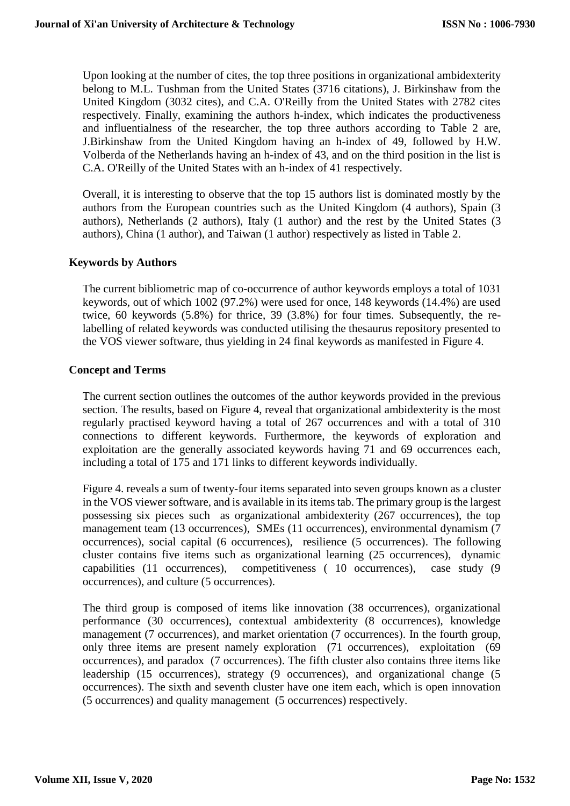Upon looking at the number of cites, the top three positions in organizational ambidexterity belong to M.L. Tushman from the United States (3716 citations), J. Birkinshaw from the United Kingdom (3032 cites), and C.A. O'Reilly from the United States with 2782 cites respectively. Finally, examining the authors h-index, which indicates the productiveness and influentialness of the researcher, the top three authors according to Table 2 are, J.Birkinshaw from the United Kingdom having an h-index of 49, followed by H.W. Volberda of the Netherlands having an h-index of 43, and on the third position in the list is C.A. O'Reilly of the United States with an h-index of 41 respectively.

Overall, it is interesting to observe that the top 15 authors list is dominated mostly by the authors from the European countries such as the United Kingdom (4 authors), Spain (3 authors), Netherlands (2 authors), Italy (1 author) and the rest by the United States (3 authors), China (1 author), and Taiwan (1 author) respectively as listed in Table 2.

#### **Keywords by Authors**

The current bibliometric map of co-occurrence of author keywords employs a total of 1031 keywords, out of which 1002 (97.2%) were used for once, 148 keywords (14.4%) are used twice, 60 keywords (5.8%) for thrice, 39 (3.8%) for four times. Subsequently, the relabelling of related keywords was conducted utilising the thesaurus repository presented to the VOS viewer software, thus yielding in 24 final keywords as manifested in Figure 4.

#### **Concept and Terms**

The current section outlines the outcomes of the author keywords provided in the previous section. The results, based on Figure 4, reveal that organizational ambidexterity is the most regularly practised keyword having a total of 267 occurrences and with a total of 310 connections to different keywords. Furthermore, the keywords of exploration and exploitation are the generally associated keywords having 71 and 69 occurrences each, including a total of 175 and 171 links to different keywords individually.

Figure 4. reveals a sum of twenty-four items separated into seven groups known as a cluster in the VOS viewer software, and is available in its items tab. The primary group is the largest possessing six pieces such as organizational ambidexterity (267 occurrences), the top management team (13 occurrences), SMEs (11 occurrences), environmental dynamism (7 occurrences), social capital (6 occurrences), resilience (5 occurrences). The following cluster contains five items such as organizational learning (25 occurrences), dynamic capabilities (11 occurrences), competitiveness ( 10 occurrences), case study (9 occurrences), and culture (5 occurrences).

The third group is composed of items like innovation (38 occurrences), organizational performance (30 occurrences), contextual ambidexterity (8 occurrences), knowledge management (7 occurrences), and market orientation (7 occurrences). In the fourth group, only three items are present namely exploration (71 occurrences), exploitation (69 occurrences), and paradox (7 occurrences). The fifth cluster also contains three items like leadership (15 occurrences), strategy (9 occurrences), and organizational change (5 occurrences). The sixth and seventh cluster have one item each, which is open innovation (5 occurrences) and quality management (5 occurrences) respectively.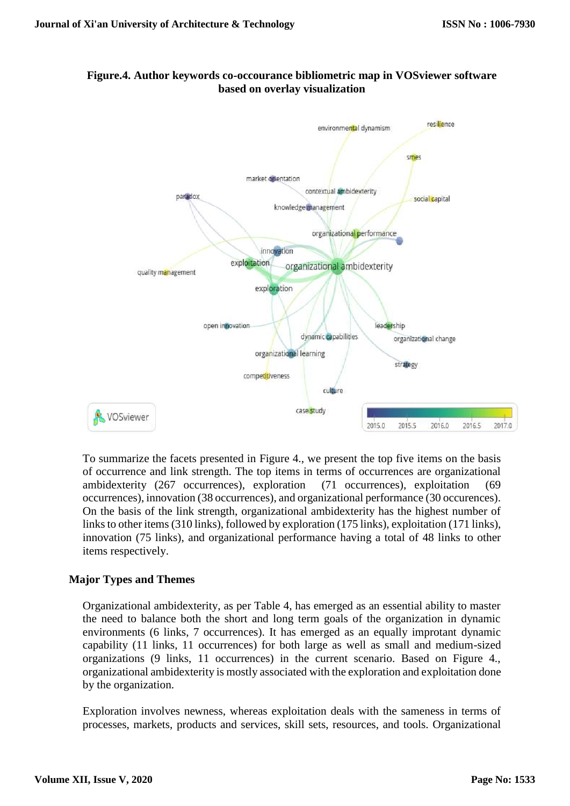

# **Figure.4. Author keywords co-occourance bibliometric map in VOSviewer software based on overlay visualization**

To summarize the facets presented in Figure 4., we present the top five items on the basis of occurrence and link strength. The top items in terms of occurrences are organizational ambidexterity (267 occurrences), exploration (71 occurrences), exploitation (69 occurrences), innovation (38 occurrences), and organizational performance (30 occurences). On the basis of the link strength, organizational ambidexterity has the highest number of links to other items (310 links), followed by exploration (175 links), exploitation (171 links), innovation (75 links), and organizational performance having a total of 48 links to other items respectively.

# **Major Types and Themes**

Organizational ambidexterity, as per Table 4, has emerged as an essential ability to master the need to balance both the short and long term goals of the organization in dynamic environments (6 links, 7 occurrences). It has emerged as an equally improtant dynamic capability (11 links, 11 occurrences) for both large as well as small and medium-sized organizations (9 links, 11 occurrences) in the current scenario. Based on Figure 4., organizational ambidexterity is mostly associated with the exploration and exploitation done by the organization.

Exploration involves newness, whereas exploitation deals with the sameness in terms of processes, markets, products and services, skill sets, resources, and tools. Organizational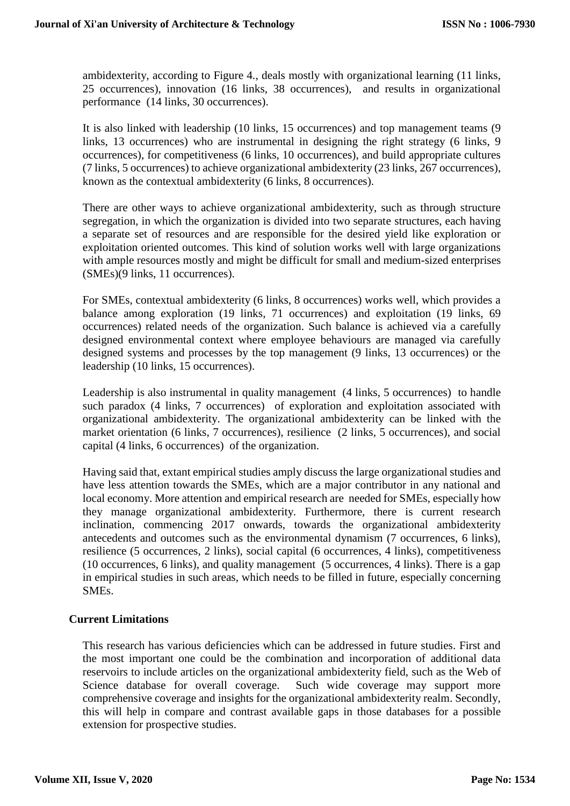ambidexterity, according to Figure 4., deals mostly with organizational learning (11 links, 25 occurrences), innovation (16 links, 38 occurrences), and results in organizational performance (14 links, 30 occurrences).

It is also linked with leadership (10 links, 15 occurrences) and top management teams (9 links, 13 occurrences) who are instrumental in designing the right strategy (6 links, 9 occurrences), for competitiveness (6 links, 10 occurrences), and build appropriate cultures (7 links, 5 occurrences) to achieve organizational ambidexterity (23 links, 267 occurrences), known as the contextual ambidexterity (6 links, 8 occurrences).

There are other ways to achieve organizational ambidexterity, such as through structure segregation, in which the organization is divided into two separate structures, each having a separate set of resources and are responsible for the desired yield like exploration or exploitation oriented outcomes. This kind of solution works well with large organizations with ample resources mostly and might be difficult for small and medium-sized enterprises (SMEs)(9 links, 11 occurrences).

For SMEs, contextual ambidexterity (6 links, 8 occurrences) works well, which provides a balance among exploration (19 links, 71 occurrences) and exploitation (19 links, 69 occurrences) related needs of the organization. Such balance is achieved via a carefully designed environmental context where employee behaviours are managed via carefully designed systems and processes by the top management (9 links, 13 occurrences) or the leadership (10 links, 15 occurrences).

Leadership is also instrumental in quality management (4 links, 5 occurrences) to handle such paradox (4 links, 7 occurrences) of exploration and exploitation associated with organizational ambidexterity. The organizational ambidexterity can be linked with the market orientation (6 links, 7 occurrences), resilience (2 links, 5 occurrences), and social capital (4 links, 6 occurrences) of the organization.

Having said that, extant empirical studies amply discuss the large organizational studies and have less attention towards the SMEs, which are a major contributor in any national and local economy. More attention and empirical research are needed for SMEs, especially how they manage organizational ambidexterity. Furthermore, there is current research inclination, commencing 2017 onwards, towards the organizational ambidexterity antecedents and outcomes such as the environmental dynamism (7 occurrences, 6 links), resilience (5 occurrences, 2 links), social capital (6 occurrences, 4 links), competitiveness (10 occurrences, 6 links), and quality management (5 occurrences, 4 links). There is a gap in empirical studies in such areas, which needs to be filled in future, especially concerning SMEs.

#### **Current Limitations**

This research has various deficiencies which can be addressed in future studies. First and the most important one could be the combination and incorporation of additional data reservoirs to include articles on the organizational ambidexterity field, such as the Web of Science database for overall coverage. Such wide coverage may support more comprehensive coverage and insights for the organizational ambidexterity realm. Secondly, this will help in compare and contrast available gaps in those databases for a possible extension for prospective studies.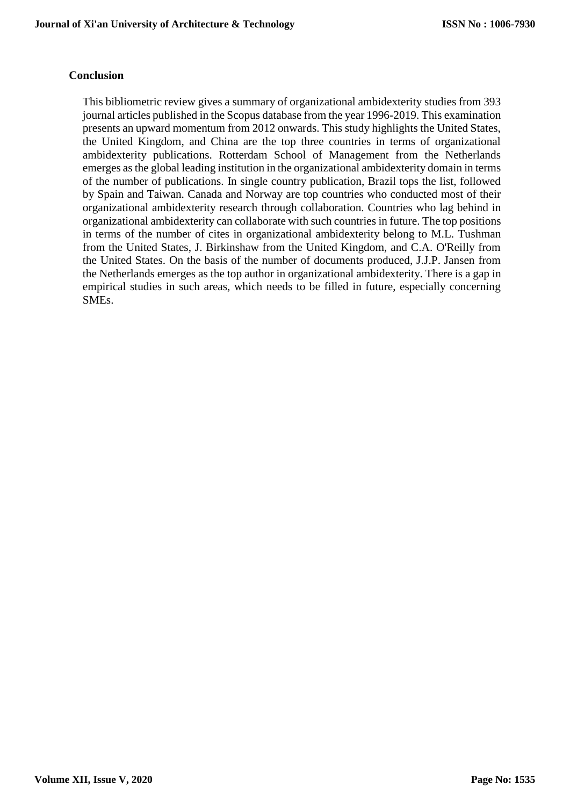#### **Conclusion**

This bibliometric review gives a summary of organizational ambidexterity studies from 393 journal articles published in the Scopus database from the year 1996-2019. This examination presents an upward momentum from 2012 onwards. This study highlights the United States, the United Kingdom, and China are the top three countries in terms of organizational ambidexterity publications. Rotterdam School of Management from the Netherlands emerges as the global leading institution in the organizational ambidexterity domain in terms of the number of publications. In single country publication, Brazil tops the list, followed by Spain and Taiwan. Canada and Norway are top countries who conducted most of their organizational ambidexterity research through collaboration. Countries who lag behind in organizational ambidexterity can collaborate with such countries in future. The top positions in terms of the number of cites in organizational ambidexterity belong to M.L. Tushman from the United States, J. Birkinshaw from the United Kingdom, and C.A. O'Reilly from the United States. On the basis of the number of documents produced, J.J.P. Jansen from the Netherlands emerges as the top author in organizational ambidexterity. There is a gap in empirical studies in such areas, which needs to be filled in future, especially concerning SMEs.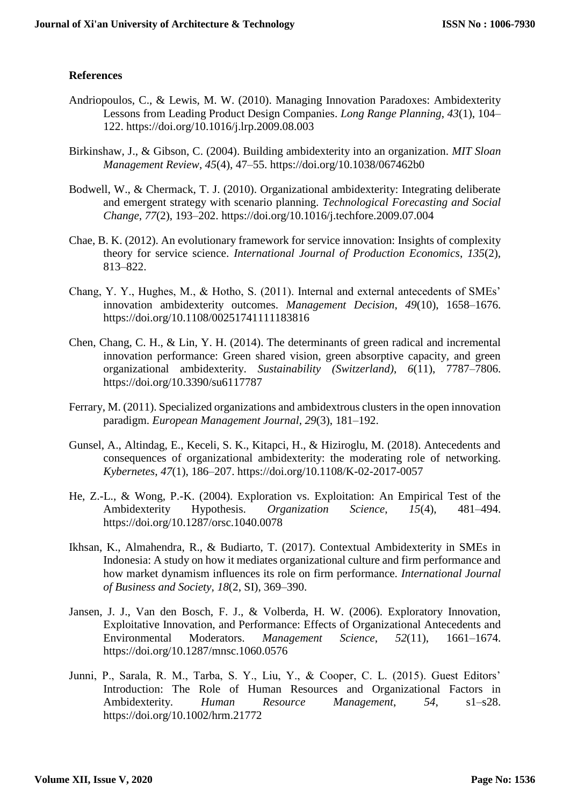## **References**

- Andriopoulos, C., & Lewis, M. W. (2010). Managing Innovation Paradoxes: Ambidexterity Lessons from Leading Product Design Companies. *Long Range Planning*, *43*(1), 104– 122. https://doi.org/10.1016/j.lrp.2009.08.003
- Birkinshaw, J., & Gibson, C. (2004). Building ambidexterity into an organization. *MIT Sloan Management Review*, *45*(4), 47–55. https://doi.org/10.1038/067462b0
- Bodwell, W., & Chermack, T. J. (2010). Organizational ambidexterity: Integrating deliberate and emergent strategy with scenario planning. *Technological Forecasting and Social Change*, *77*(2), 193–202. https://doi.org/10.1016/j.techfore.2009.07.004
- Chae, B. K. (2012). An evolutionary framework for service innovation: Insights of complexity theory for service science. *International Journal of Production Economics*, *135*(2), 813–822.
- Chang, Y. Y., Hughes, M., & Hotho, S. (2011). Internal and external antecedents of SMEs' innovation ambidexterity outcomes. *Management Decision*, *49*(10), 1658–1676. https://doi.org/10.1108/00251741111183816
- Chen, Chang, C. H., & Lin, Y. H. (2014). The determinants of green radical and incremental innovation performance: Green shared vision, green absorptive capacity, and green organizational ambidexterity. *Sustainability (Switzerland)*, *6*(11), 7787–7806. https://doi.org/10.3390/su6117787
- Ferrary, M. (2011). Specialized organizations and ambidextrous clusters in the open innovation paradigm. *European Management Journal*, *29*(3), 181–192.
- Gunsel, A., Altindag, E., Keceli, S. K., Kitapci, H., & Hiziroglu, M. (2018). Antecedents and consequences of organizational ambidexterity: the moderating role of networking. *Kybernetes*, *47*(1), 186–207. https://doi.org/10.1108/K-02-2017-0057
- He, Z.-L., & Wong, P.-K. (2004). Exploration vs. Exploitation: An Empirical Test of the Ambidexterity Hypothesis. *Organization Science*, *15*(4), 481–494. https://doi.org/10.1287/orsc.1040.0078
- Ikhsan, K., Almahendra, R., & Budiarto, T. (2017). Contextual Ambidexterity in SMEs in Indonesia: A study on how it mediates organizational culture and firm performance and how market dynamism influences its role on firm performance. *International Journal of Business and Society*, *18*(2, SI), 369–390.
- Jansen, J. J., Van den Bosch, F. J., & Volberda, H. W. (2006). Exploratory Innovation, Exploitative Innovation, and Performance: Effects of Organizational Antecedents and Environmental Moderators. *Management Science*, *52*(11), 1661–1674. https://doi.org/10.1287/mnsc.1060.0576
- Junni, P., Sarala, R. M., Tarba, S. Y., Liu, Y., & Cooper, C. L. (2015). Guest Editors' Introduction: The Role of Human Resources and Organizational Factors in Ambidexterity. *Human Resource Management*, *54*, s1–s28. https://doi.org/10.1002/hrm.21772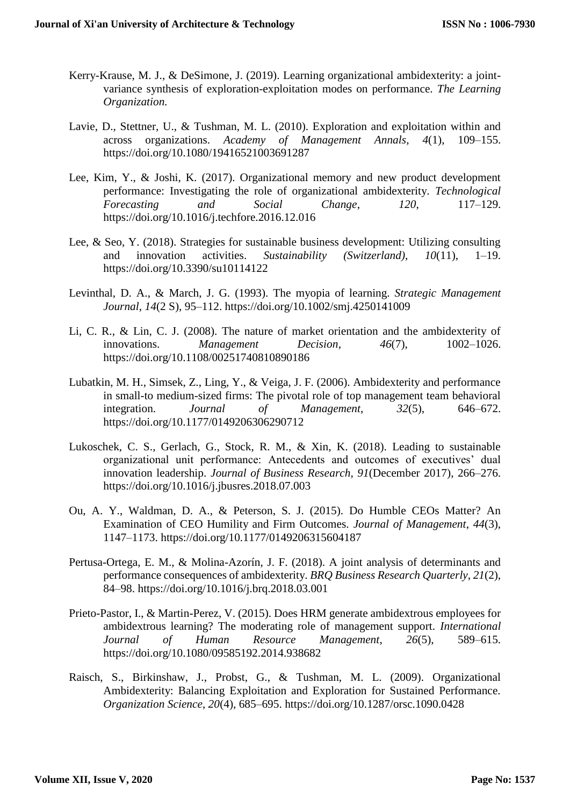- Kerry-Krause, M. J., & DeSimone, J. (2019). Learning organizational ambidexterity: a jointvariance synthesis of exploration-exploitation modes on performance. *The Learning Organization.*
- Lavie, D., Stettner, U., & Tushman, M. L. (2010). Exploration and exploitation within and across organizations. *Academy of Management Annals*, *4*(1), 109–155. https://doi.org/10.1080/19416521003691287
- Lee, Kim, Y., & Joshi, K. (2017). Organizational memory and new product development performance: Investigating the role of organizational ambidexterity. *Technological Forecasting and Social Change*, *120*, 117–129. https://doi.org/10.1016/j.techfore.2016.12.016
- Lee, & Seo, Y. (2018). Strategies for sustainable business development: Utilizing consulting and innovation activities. *Sustainability (Switzerland)*, *10*(11), 1–19. https://doi.org/10.3390/su10114122
- Levinthal, D. A., & March, J. G. (1993). The myopia of learning. *Strategic Management Journal*, *14*(2 S), 95–112. https://doi.org/10.1002/smj.4250141009
- Li, C. R., & Lin, C. J. (2008). The nature of market orientation and the ambidexterity of innovations. *Management Decision*, *46*(7), 1002–1026. https://doi.org/10.1108/00251740810890186
- Lubatkin, M. H., Simsek, Z., Ling, Y., & Veiga, J. F. (2006). Ambidexterity and performance in small-to medium-sized firms: The pivotal role of top management team behavioral integration. *Journal of Management*, *32*(5), 646–672. https://doi.org/10.1177/0149206306290712
- Lukoschek, C. S., Gerlach, G., Stock, R. M., & Xin, K. (2018). Leading to sustainable organizational unit performance: Antecedents and outcomes of executives' dual innovation leadership. *Journal of Business Research*, *91*(December 2017), 266–276. https://doi.org/10.1016/j.jbusres.2018.07.003
- Ou, A. Y., Waldman, D. A., & Peterson, S. J. (2015). Do Humble CEOs Matter? An Examination of CEO Humility and Firm Outcomes. *Journal of Management*, *44*(3), 1147–1173. https://doi.org/10.1177/0149206315604187
- Pertusa-Ortega, E. M., & Molina-Azorín, J. F. (2018). A joint analysis of determinants and performance consequences of ambidexterity. *BRQ Business Research Quarterly*, *21*(2), 84–98. https://doi.org/10.1016/j.brq.2018.03.001
- Prieto-Pastor, I., & Martin-Perez, V. (2015). Does HRM generate ambidextrous employees for ambidextrous learning? The moderating role of management support. *International Journal of Human Resource Management*, *26*(5), 589–615. https://doi.org/10.1080/09585192.2014.938682
- Raisch, S., Birkinshaw, J., Probst, G., & Tushman, M. L. (2009). Organizational Ambidexterity: Balancing Exploitation and Exploration for Sustained Performance. *Organization Science*, *20*(4), 685–695. https://doi.org/10.1287/orsc.1090.0428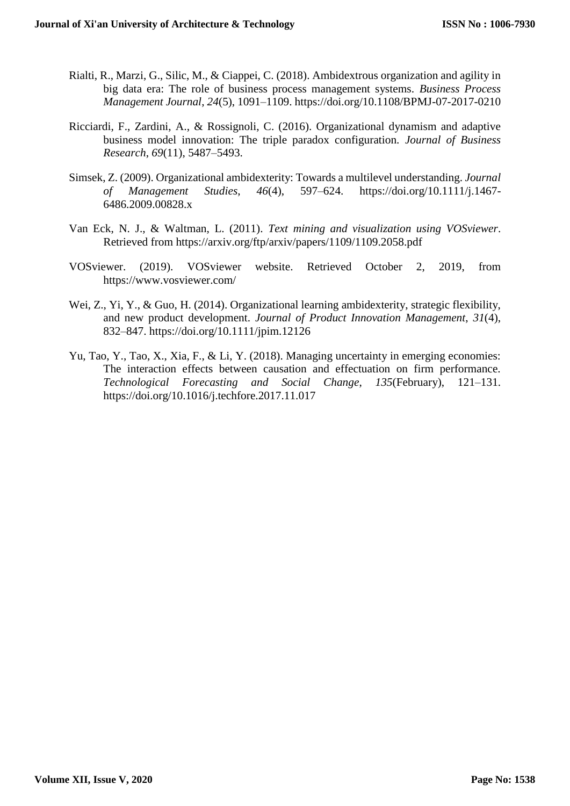- Rialti, R., Marzi, G., Silic, M., & Ciappei, C. (2018). Ambidextrous organization and agility in big data era: The role of business process management systems. *Business Process Management Journal*, *24*(5), 1091–1109. https://doi.org/10.1108/BPMJ-07-2017-0210
- Ricciardi, F., Zardini, A., & Rossignoli, C. (2016). Organizational dynamism and adaptive business model innovation: The triple paradox configuration. *Journal of Business Research*, *69*(11), 5487–5493.
- Simsek, Z. (2009). Organizational ambidexterity: Towards a multilevel understanding. *Journal of Management Studies*, *46*(4), 597–624. https://doi.org/10.1111/j.1467- 6486.2009.00828.x
- Van Eck, N. J., & Waltman, L. (2011). *Text mining and visualization using VOSviewer*. Retrieved from https://arxiv.org/ftp/arxiv/papers/1109/1109.2058.pdf
- VOSviewer. (2019). VOSviewer website. Retrieved October 2, 2019, from https://www.vosviewer.com/
- Wei, Z., Yi, Y., & Guo, H. (2014). Organizational learning ambidexterity, strategic flexibility, and new product development. *Journal of Product Innovation Management*, *31*(4), 832–847. https://doi.org/10.1111/jpim.12126
- Yu, Tao, Y., Tao, X., Xia, F., & Li, Y. (2018). Managing uncertainty in emerging economies: The interaction effects between causation and effectuation on firm performance. *Technological Forecasting and Social Change*, *135*(February), 121–131. https://doi.org/10.1016/j.techfore.2017.11.017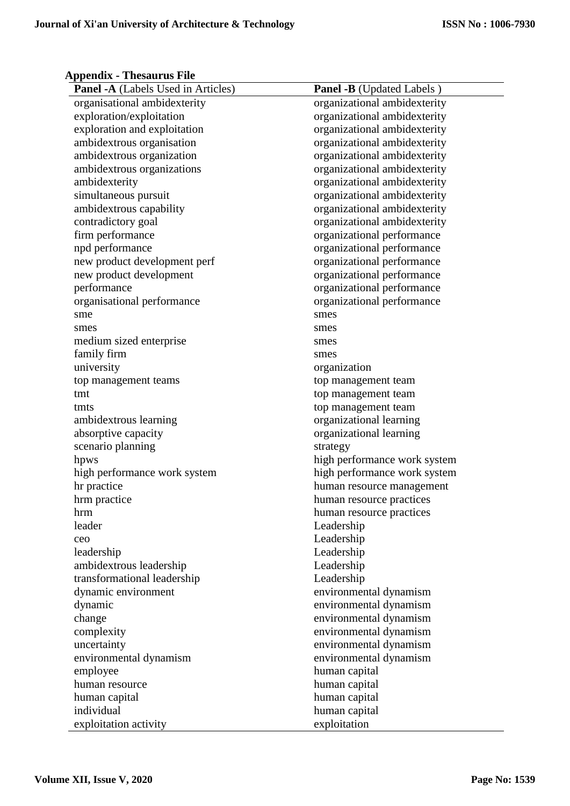# **Appendix - Thesaurus File**

| <b>Panel -A</b> (Labels Used in Articles) | <b>Panel -B</b> (Updated Labels) |
|-------------------------------------------|----------------------------------|
| organisational ambidexterity              | organizational ambidexterity     |
| exploration/exploitation                  | organizational ambidexterity     |
| exploration and exploitation              | organizational ambidexterity     |
| ambidextrous organisation                 | organizational ambidexterity     |
| ambidextrous organization                 | organizational ambidexterity     |
| ambidextrous organizations                | organizational ambidexterity     |
| ambidexterity                             | organizational ambidexterity     |
| simultaneous pursuit                      | organizational ambidexterity     |
| ambidextrous capability                   | organizational ambidexterity     |
| contradictory goal                        | organizational ambidexterity     |
| firm performance                          | organizational performance       |
| npd performance                           | organizational performance       |
| new product development perf              | organizational performance       |
| new product development                   | organizational performance       |
| performance                               | organizational performance       |
| organisational performance                | organizational performance       |
| sme                                       | smes                             |
| smes                                      | smes                             |
| medium sized enterprise                   | smes                             |
| family firm                               | smes                             |
| university                                | organization                     |
| top management teams                      | top management team              |
| tmt                                       | top management team              |
| tmts                                      | top management team              |
| ambidextrous learning                     | organizational learning          |
| absorptive capacity                       | organizational learning          |
| scenario planning                         | strategy                         |
| hpws                                      | high performance work system     |
| high performance work system              | high performance work system     |
| hr practice                               | human resource management        |
| hrm practice                              | human resource practices         |
| hrm                                       | human resource practices         |
| leader                                    | Leadership                       |
| ceo                                       | Leadership                       |
| leadership                                | Leadership                       |
| ambidextrous leadership                   | Leadership                       |
| transformational leadership               | Leadership                       |
| dynamic environment                       | environmental dynamism           |
| dynamic                                   | environmental dynamism           |
| change                                    | environmental dynamism           |
| complexity                                | environmental dynamism           |
| uncertainty                               | environmental dynamism           |
| environmental dynamism                    | environmental dynamism           |
| employee                                  | human capital                    |
| human resource                            | human capital                    |
| human capital                             | human capital                    |
| individual                                | human capital                    |
| exploitation activity                     | exploitation                     |